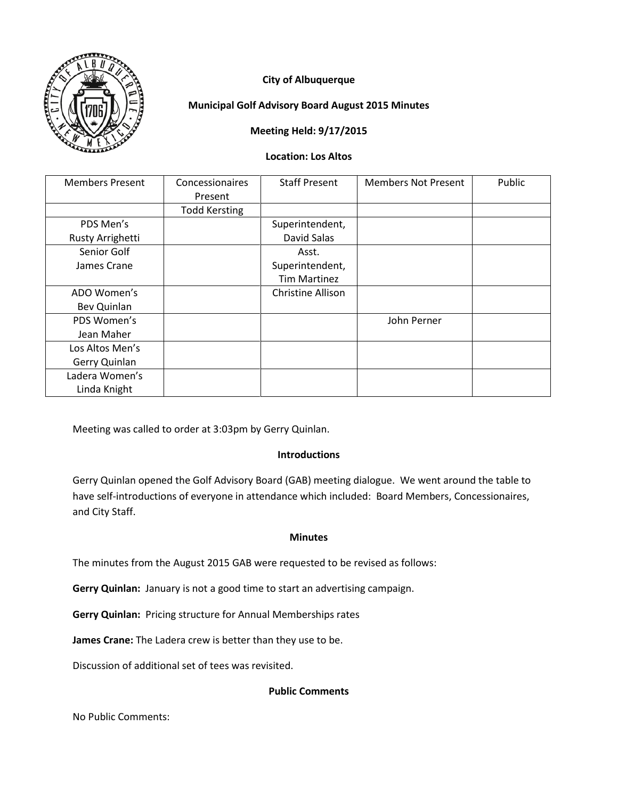

# **City of Albuquerque**

## **Municipal Golf Advisory Board August 2015 Minutes**

## **Meeting Held: 9/17/2015**

#### **Location: Los Altos**

| <b>Members Present</b> | Concessionaires      | <b>Staff Present</b> | <b>Members Not Present</b> | Public |
|------------------------|----------------------|----------------------|----------------------------|--------|
|                        | Present              |                      |                            |        |
|                        | <b>Todd Kersting</b> |                      |                            |        |
| PDS Men's              |                      | Superintendent,      |                            |        |
| Rusty Arrighetti       |                      | David Salas          |                            |        |
| Senior Golf            |                      | Asst.                |                            |        |
| James Crane            |                      | Superintendent,      |                            |        |
|                        |                      | <b>Tim Martinez</b>  |                            |        |
| ADO Women's            |                      | Christine Allison    |                            |        |
| Bev Quinlan            |                      |                      |                            |        |
| PDS Women's            |                      |                      | John Perner                |        |
| Jean Maher             |                      |                      |                            |        |
| Los Altos Men's        |                      |                      |                            |        |
| Gerry Quinlan          |                      |                      |                            |        |
| Ladera Women's         |                      |                      |                            |        |
| Linda Knight           |                      |                      |                            |        |

Meeting was called to order at 3:03pm by Gerry Quinlan.

## **Introductions**

Gerry Quinlan opened the Golf Advisory Board (GAB) meeting dialogue. We went around the table to have self-introductions of everyone in attendance which included: Board Members, Concessionaires, and City Staff.

## **Minutes**

The minutes from the August 2015 GAB were requested to be revised as follows:

**Gerry Quinlan:** January is not a good time to start an advertising campaign.

**Gerry Quinlan:** Pricing structure for Annual Memberships rates

**James Crane:** The Ladera crew is better than they use to be.

Discussion of additional set of tees was revisited.

## **Public Comments**

No Public Comments: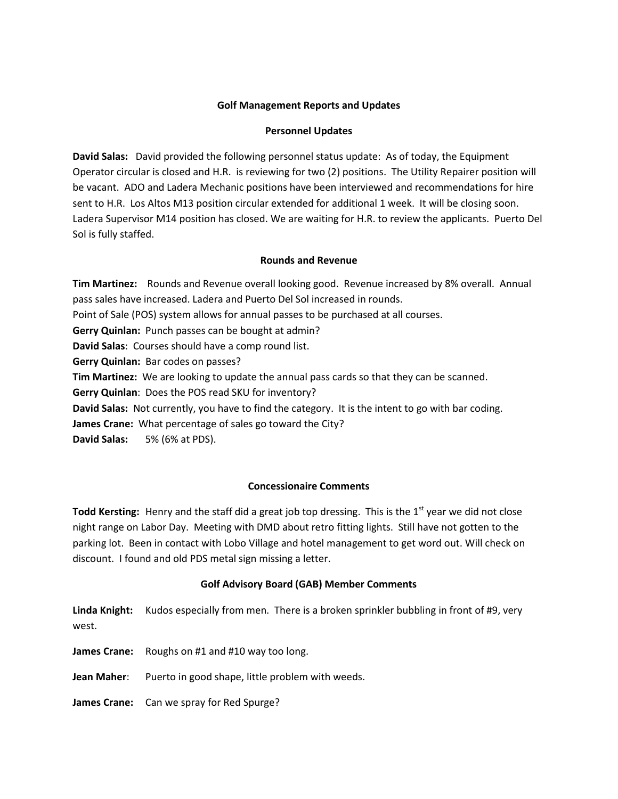## **Golf Management Reports and Updates**

#### **Personnel Updates**

**David Salas:** David provided the following personnel status update: As of today, the Equipment Operator circular is closed and H.R. is reviewing for two (2) positions. The Utility Repairer position will be vacant. ADO and Ladera Mechanic positions have been interviewed and recommendations for hire sent to H.R. Los Altos M13 position circular extended for additional 1 week. It will be closing soon. Ladera Supervisor M14 position has closed. We are waiting for H.R. to review the applicants. Puerto Del Sol is fully staffed.

#### **Rounds and Revenue**

**Tim Martinez:** Rounds and Revenue overall looking good. Revenue increased by 8% overall. Annual pass sales have increased. Ladera and Puerto Del Sol increased in rounds. Point of Sale (POS) system allows for annual passes to be purchased at all courses. **Gerry Quinlan:** Punch passes can be bought at admin? **David Salas**: Courses should have a comp round list. **Gerry Quinlan:** Bar codes on passes? **Tim Martinez:** We are looking to update the annual pass cards so that they can be scanned. **Gerry Quinlan**: Does the POS read SKU for inventory? **David Salas:** Not currently, you have to find the category. It is the intent to go with bar coding. **James Crane:** What percentage of sales go toward the City? **David Salas:** 5% (6% at PDS).

#### **Concessionaire Comments**

Todd Kersting: Henry and the staff did a great job top dressing. This is the 1<sup>st</sup> year we did not close night range on Labor Day. Meeting with DMD about retro fitting lights. Still have not gotten to the parking lot. Been in contact with Lobo Village and hotel management to get word out. Will check on discount. I found and old PDS metal sign missing a letter.

## **Golf Advisory Board (GAB) Member Comments**

**Linda Knight:** Kudos especially from men. There is a broken sprinkler bubbling in front of #9, very west.

**James Crane:** Roughs on #1 and #10 way too long.

Jean Maher: Puerto in good shape, little problem with weeds.

**James Crane:** Can we spray for Red Spurge?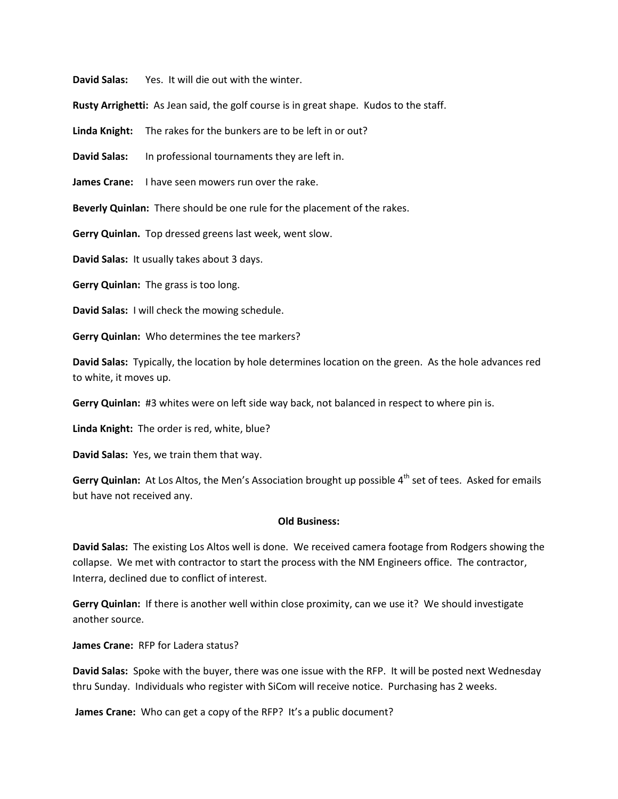**David Salas:** Yes. It will die out with the winter.

**Rusty Arrighetti:** As Jean said, the golf course is in great shape. Kudos to the staff.

**Linda Knight:** The rakes for the bunkers are to be left in or out?

**David Salas:** In professional tournaments they are left in.

**James Crane:** I have seen mowers run over the rake.

**Beverly Quinlan:** There should be one rule for the placement of the rakes.

**Gerry Quinlan.** Top dressed greens last week, went slow.

**David Salas:** It usually takes about 3 days.

**Gerry Quinlan:** The grass is too long.

**David Salas:** I will check the mowing schedule.

**Gerry Quinlan:** Who determines the tee markers?

**David Salas:** Typically, the location by hole determines location on the green. As the hole advances red to white, it moves up.

**Gerry Quinlan:** #3 whites were on left side way back, not balanced in respect to where pin is.

**Linda Knight:** The order is red, white, blue?

**David Salas:** Yes, we train them that way.

**Gerry Quinlan:** At Los Altos, the Men's Association brought up possible 4<sup>th</sup> set of tees. Asked for emails but have not received any.

#### **Old Business:**

**David Salas:** The existing Los Altos well is done. We received camera footage from Rodgers showing the collapse. We met with contractor to start the process with the NM Engineers office. The contractor, Interra, declined due to conflict of interest.

**Gerry Quinlan:** If there is another well within close proximity, can we use it? We should investigate another source.

**James Crane:** RFP for Ladera status?

**David Salas:** Spoke with the buyer, there was one issue with the RFP. It will be posted next Wednesday thru Sunday. Individuals who register with SiCom will receive notice. Purchasing has 2 weeks.

**James Crane:** Who can get a copy of the RFP? It's a public document?